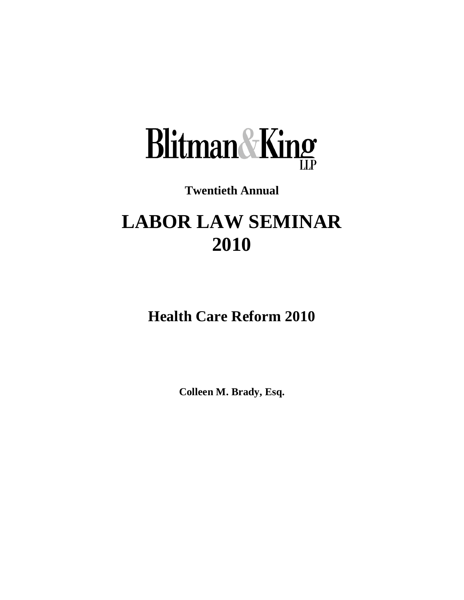

# **Twentieth Annual**

# **LABOR LAW SEMINAR 2010**

**Health Care Reform 2010**

**Colleen M. Brady, Esq.**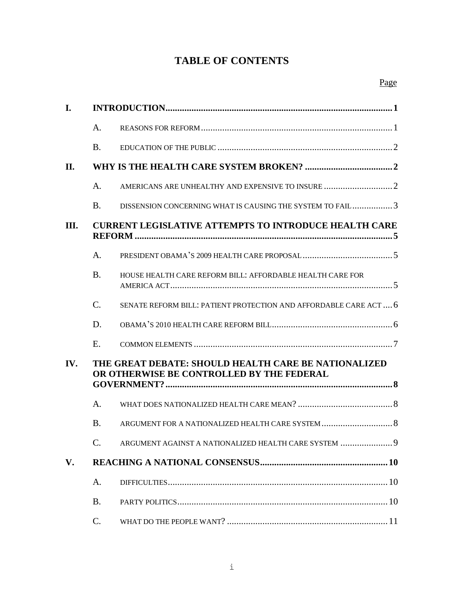# **TABLE OF CONTENTS**

| I.  |                                                                                                   |                                                                   |  |
|-----|---------------------------------------------------------------------------------------------------|-------------------------------------------------------------------|--|
|     | A.                                                                                                |                                                                   |  |
|     | <b>B.</b>                                                                                         |                                                                   |  |
| П.  |                                                                                                   |                                                                   |  |
|     | A.                                                                                                |                                                                   |  |
|     | <b>B.</b>                                                                                         | DISSENSION CONCERNING WHAT IS CAUSING THE SYSTEM TO FAIL3         |  |
| Ш.  | <b>CURRENT LEGISLATIVE ATTEMPTS TO INTRODUCE HEALTH CARE</b>                                      |                                                                   |  |
|     | A.                                                                                                |                                                                   |  |
|     | <b>B.</b>                                                                                         | HOUSE HEALTH CARE REFORM BILL: AFFORDABLE HEALTH CARE FOR         |  |
|     | $\mathcal{C}$ .                                                                                   | SENATE REFORM BILL: PATIENT PROTECTION AND AFFORDABLE CARE ACT  6 |  |
|     | D.                                                                                                |                                                                   |  |
|     | E.                                                                                                |                                                                   |  |
| IV. | THE GREAT DEBATE: SHOULD HEALTH CARE BE NATIONALIZED<br>OR OTHERWISE BE CONTROLLED BY THE FEDERAL |                                                                   |  |
|     | A.                                                                                                |                                                                   |  |
|     | <b>B.</b>                                                                                         | ARGUMENT FOR A NATIONALIZED HEALTH CARE SYSTEM  8                 |  |
|     | $\mathsf{C}$ .                                                                                    | ARGUMENT AGAINST A NATIONALIZED HEALTH CARE SYSTEM 9              |  |
| V.  |                                                                                                   |                                                                   |  |
|     | A.                                                                                                |                                                                   |  |
|     | <b>B.</b>                                                                                         |                                                                   |  |
|     | C.                                                                                                |                                                                   |  |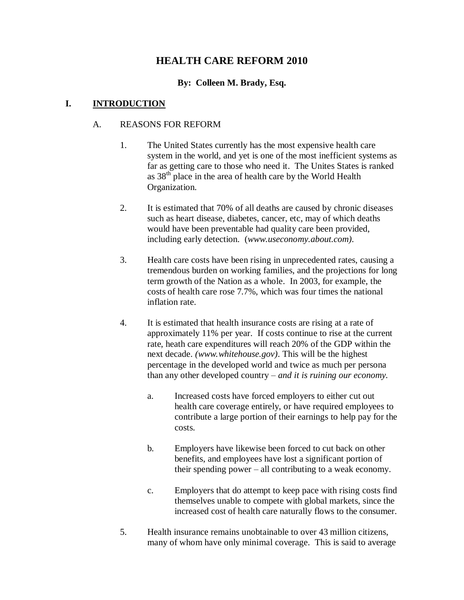# **HEALTH CARE REFORM 2010**

#### **By: Colleen M. Brady, Esq.**

#### <span id="page-2-1"></span><span id="page-2-0"></span>**I. INTRODUCTION**

#### A. REASONS FOR REFORM

- 1. The United States currently has the most expensive health care system in the world, and yet is one of the most inefficient systems as far as getting care to those who need it. The Unites States is ranked as  $38<sup>th</sup>$  place in the area of health care by the World Health Organization.
- 2. It is estimated that 70% of all deaths are caused by chronic diseases such as heart disease, diabetes, cancer, etc, may of which deaths would have been preventable had quality care been provided, including early detection. (*www.useconomy.about.com).*
- 3. Health care costs have been rising in unprecedented rates, causing a tremendous burden on working families, and the projections for long term growth of the Nation as a whole. In 2003, for example, the costs of health care rose 7.7%, which was four times the national inflation rate.
- 4. It is estimated that health insurance costs are rising at a rate of approximately 11% per year. If costs continue to rise at the current rate, heath care expenditures will reach 20% of the GDP within the next decade. *(www.whitehouse.gov)*. This will be the highest percentage in the developed world and twice as much per persona than any other developed country – *and it is ruining our economy.*
	- a. Increased costs have forced employers to either cut out health care coverage entirely, or have required employees to contribute a large portion of their earnings to help pay for the costs.
	- b. Employers have likewise been forced to cut back on other benefits, and employees have lost a significant portion of their spending power – all contributing to a weak economy.
	- c. Employers that do attempt to keep pace with rising costs find themselves unable to compete with global markets, since the increased cost of health care naturally flows to the consumer.
- 5. Health insurance remains unobtainable to over 43 million citizens, many of whom have only minimal coverage. This is said to average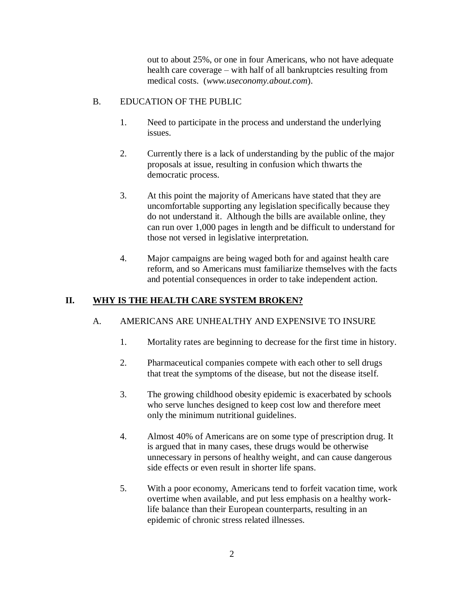out to about 25%, or one in four Americans, who not have adequate health care coverage – with half of all bankruptcies resulting from medical costs. (*www.useconomy.about.com*).

#### <span id="page-3-0"></span>B. EDUCATION OF THE PUBLIC

- 1. Need to participate in the process and understand the underlying issues.
- 2. Currently there is a lack of understanding by the public of the major proposals at issue, resulting in confusion which thwarts the democratic process.
- 3. At this point the majority of Americans have stated that they are uncomfortable supporting any legislation specifically because they do not understand it. Although the bills are available online, they can run over 1,000 pages in length and be difficult to understand for those not versed in legislative interpretation.
- 4. Major campaigns are being waged both for and against health care reform, and so Americans must familiarize themselves with the facts and potential consequences in order to take independent action.

# <span id="page-3-2"></span><span id="page-3-1"></span>**II. WHY IS THE HEALTH CARE SYSTEM BROKEN?**

# A. AMERICANS ARE UNHEALTHY AND EXPENSIVE TO INSURE

- 1. Mortality rates are beginning to decrease for the first time in history.
- 2. Pharmaceutical companies compete with each other to sell drugs that treat the symptoms of the disease, but not the disease itself.
- 3. The growing childhood obesity epidemic is exacerbated by schools who serve lunches designed to keep cost low and therefore meet only the minimum nutritional guidelines.
- 4. Almost 40% of Americans are on some type of prescription drug. It is argued that in many cases, these drugs would be otherwise unnecessary in persons of healthy weight, and can cause dangerous side effects or even result in shorter life spans.
- 5. With a poor economy, Americans tend to forfeit vacation time, work overtime when available, and put less emphasis on a healthy worklife balance than their European counterparts, resulting in an epidemic of chronic stress related illnesses.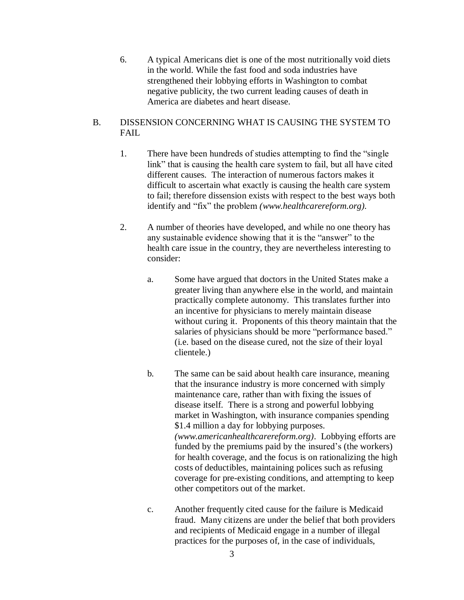6. A typical Americans diet is one of the most nutritionally void diets in the world. While the fast food and soda industries have strengthened their lobbying efforts in Washington to combat negative publicity, the two current leading causes of death in America are diabetes and heart disease.

#### <span id="page-4-0"></span>B. DISSENSION CONCERNING WHAT IS CAUSING THE SYSTEM TO FAIL

- 1. There have been hundreds of studies attempting to find the "single link" that is causing the health care system to fail, but all have cited different causes. The interaction of numerous factors makes it difficult to ascertain what exactly is causing the health care system to fail; therefore dissension exists with respect to the best ways both identify and "fix" the problem *(www.healthcarereform.org).*
- 2. A number of theories have developed, and while no one theory has any sustainable evidence showing that it is the "answer" to the health care issue in the country, they are nevertheless interesting to consider:
	- a. Some have argued that doctors in the United States make a greater living than anywhere else in the world, and maintain practically complete autonomy. This translates further into an incentive for physicians to merely maintain disease without curing it. Proponents of this theory maintain that the salaries of physicians should be more "performance based." (i.e. based on the disease cured, not the size of their loyal clientele.)
	- b. The same can be said about health care insurance, meaning that the insurance industry is more concerned with simply maintenance care, rather than with fixing the issues of disease itself. There is a strong and powerful lobbying market in Washington, with insurance companies spending \$1.4 million a day for lobbying purposes. *(www.americanhealthcarereform.org)*. Lobbying efforts are funded by the premiums paid by the insured's (the workers) for health coverage, and the focus is on rationalizing the high costs of deductibles, maintaining polices such as refusing coverage for pre-existing conditions, and attempting to keep other competitors out of the market.
	- c. Another frequently cited cause for the failure is Medicaid fraud. Many citizens are under the belief that both providers and recipients of Medicaid engage in a number of illegal practices for the purposes of, in the case of individuals,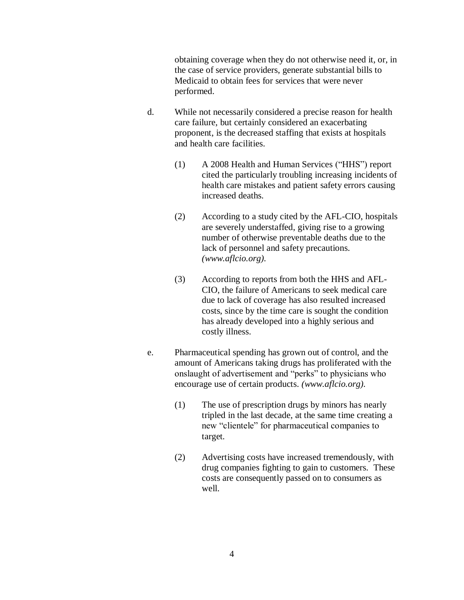obtaining coverage when they do not otherwise need it, or, in the case of service providers, generate substantial bills to Medicaid to obtain fees for services that were never performed.

- d. While not necessarily considered a precise reason for health care failure, but certainly considered an exacerbating proponent, is the decreased staffing that exists at hospitals and health care facilities.
	- (1) A 2008 Health and Human Services ("HHS") report cited the particularly troubling increasing incidents of health care mistakes and patient safety errors causing increased deaths.
	- (2) According to a study cited by the AFL-CIO, hospitals are severely understaffed, giving rise to a growing number of otherwise preventable deaths due to the lack of personnel and safety precautions. *(www.aflcio.org).*
	- (3) According to reports from both the HHS and AFL-CIO, the failure of Americans to seek medical care due to lack of coverage has also resulted increased costs, since by the time care is sought the condition has already developed into a highly serious and costly illness.
- e. Pharmaceutical spending has grown out of control, and the amount of Americans taking drugs has proliferated with the onslaught of advertisement and "perks" to physicians who encourage use of certain products. *(www.aflcio.org).*
	- (1) The use of prescription drugs by minors has nearly tripled in the last decade, at the same time creating a new "clientele" for pharmaceutical companies to target.
	- (2) Advertising costs have increased tremendously, with drug companies fighting to gain to customers. These costs are consequently passed on to consumers as well.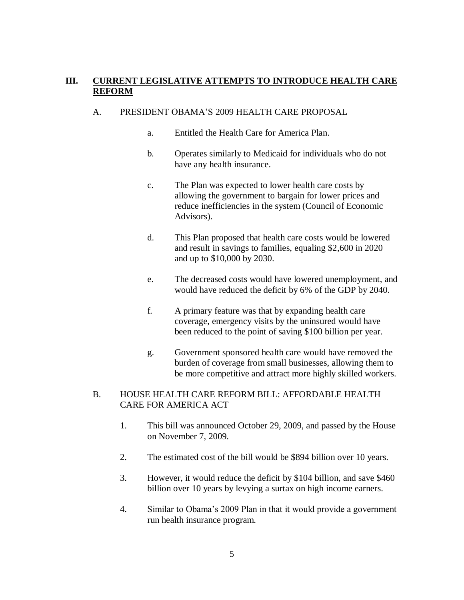#### <span id="page-6-0"></span>**III. CURRENT LEGISLATIVE ATTEMPTS TO INTRODUCE HEALTH CARE REFORM**

#### <span id="page-6-1"></span>A. PRESIDENT OBAMA'S 2009 HEALTH CARE PROPOSAL

- a. Entitled the Health Care for America Plan.
- b. Operates similarly to Medicaid for individuals who do not have any health insurance.
- c. The Plan was expected to lower health care costs by allowing the government to bargain for lower prices and reduce inefficiencies in the system (Council of Economic Advisors).
- d. This Plan proposed that health care costs would be lowered and result in savings to families, equaling \$2,600 in 2020 and up to \$10,000 by 2030.
- e. The decreased costs would have lowered unemployment, and would have reduced the deficit by 6% of the GDP by 2040.
- f. A primary feature was that by expanding health care coverage, emergency visits by the uninsured would have been reduced to the point of saving \$100 billion per year.
- g. Government sponsored health care would have removed the burden of coverage from small businesses, allowing them to be more competitive and attract more highly skilled workers.

#### <span id="page-6-2"></span>B. HOUSE HEALTH CARE REFORM BILL: AFFORDABLE HEALTH CARE FOR AMERICA ACT

- 1. This bill was announced October 29, 2009, and passed by the House on November 7, 2009.
- 2. The estimated cost of the bill would be \$894 billion over 10 years.
- 3. However, it would reduce the deficit by \$104 billion, and save \$460 billion over 10 years by levying a surtax on high income earners.
- 4. Similar to Obama's 2009 Plan in that it would provide a government run health insurance program.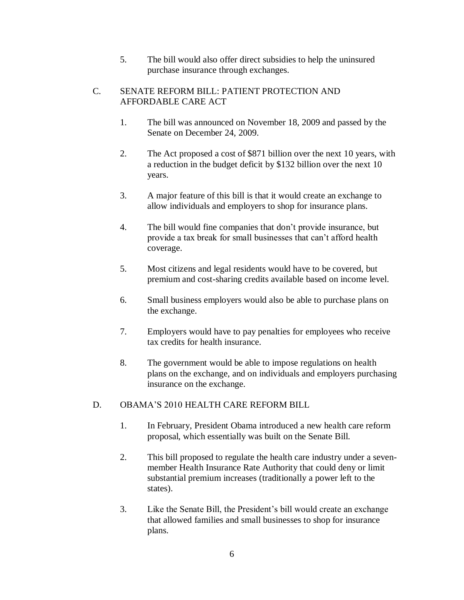5. The bill would also offer direct subsidies to help the uninsured purchase insurance through exchanges.

#### <span id="page-7-0"></span>C. SENATE REFORM BILL: PATIENT PROTECTION AND AFFORDABLE CARE ACT

- 1. The bill was announced on November 18, 2009 and passed by the Senate on December 24, 2009.
- 2. The Act proposed a cost of \$871 billion over the next 10 years, with a reduction in the budget deficit by \$132 billion over the next 10 years.
- 3. A major feature of this bill is that it would create an exchange to allow individuals and employers to shop for insurance plans.
- 4. The bill would fine companies that don't provide insurance, but provide a tax break for small businesses that can't afford health coverage.
- 5. Most citizens and legal residents would have to be covered, but premium and cost-sharing credits available based on income level.
- 6. Small business employers would also be able to purchase plans on the exchange.
- 7. Employers would have to pay penalties for employees who receive tax credits for health insurance.
- 8. The government would be able to impose regulations on health plans on the exchange, and on individuals and employers purchasing insurance on the exchange.

# <span id="page-7-1"></span>D. OBAMA'S 2010 HEALTH CARE REFORM BILL

- 1. In February, President Obama introduced a new health care reform proposal, which essentially was built on the Senate Bill.
- 2. This bill proposed to regulate the health care industry under a sevenmember Health Insurance Rate Authority that could deny or limit substantial premium increases (traditionally a power left to the states).
- 3. Like the Senate Bill, the President's bill would create an exchange that allowed families and small businesses to shop for insurance plans.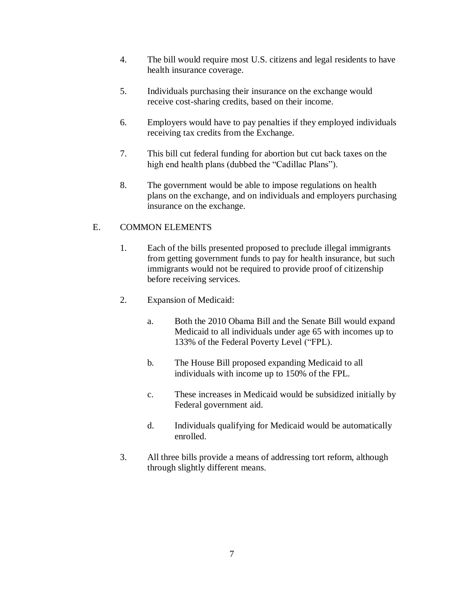- 4. The bill would require most U.S. citizens and legal residents to have health insurance coverage.
- 5. Individuals purchasing their insurance on the exchange would receive cost-sharing credits, based on their income.
- 6. Employers would have to pay penalties if they employed individuals receiving tax credits from the Exchange.
- 7. This bill cut federal funding for abortion but cut back taxes on the high end health plans (dubbed the "Cadillac Plans").
- 8. The government would be able to impose regulations on health plans on the exchange, and on individuals and employers purchasing insurance on the exchange.

# <span id="page-8-0"></span>E. COMMON ELEMENTS

- 1. Each of the bills presented proposed to preclude illegal immigrants from getting government funds to pay for health insurance, but such immigrants would not be required to provide proof of citizenship before receiving services.
- 2. Expansion of Medicaid:
	- a. Both the 2010 Obama Bill and the Senate Bill would expand Medicaid to all individuals under age 65 with incomes up to 133% of the Federal Poverty Level ("FPL).
	- b. The House Bill proposed expanding Medicaid to all individuals with income up to 150% of the FPL.
	- c. These increases in Medicaid would be subsidized initially by Federal government aid.
	- d. Individuals qualifying for Medicaid would be automatically enrolled.
- 3. All three bills provide a means of addressing tort reform, although through slightly different means.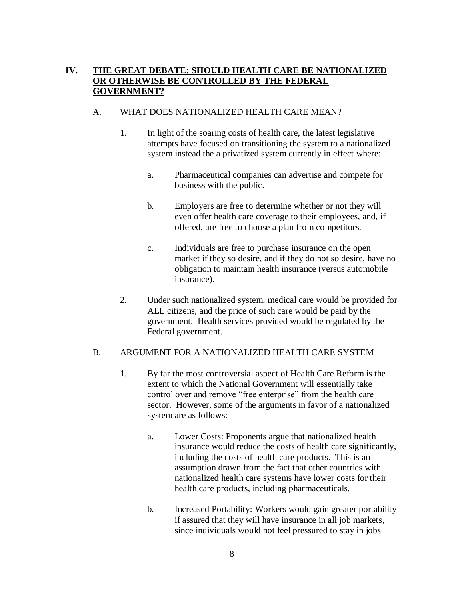#### <span id="page-9-0"></span>**IV. THE GREAT DEBATE: SHOULD HEALTH CARE BE NATIONALIZED OR OTHERWISE BE CONTROLLED BY THE FEDERAL GOVERNMENT?**

#### <span id="page-9-1"></span>A. WHAT DOES NATIONALIZED HEALTH CARE MEAN?

- 1. In light of the soaring costs of health care, the latest legislative attempts have focused on transitioning the system to a nationalized system instead the a privatized system currently in effect where:
	- a. Pharmaceutical companies can advertise and compete for business with the public.
	- b. Employers are free to determine whether or not they will even offer health care coverage to their employees, and, if offered, are free to choose a plan from competitors.
	- c. Individuals are free to purchase insurance on the open market if they so desire, and if they do not so desire, have no obligation to maintain health insurance (versus automobile insurance).
- 2. Under such nationalized system, medical care would be provided for ALL citizens, and the price of such care would be paid by the government. Health services provided would be regulated by the Federal government.

#### <span id="page-9-2"></span>B. ARGUMENT FOR A NATIONALIZED HEALTH CARE SYSTEM

- 1. By far the most controversial aspect of Health Care Reform is the extent to which the National Government will essentially take control over and remove "free enterprise" from the health care sector. However, some of the arguments in favor of a nationalized system are as follows:
	- a. Lower Costs: Proponents argue that nationalized health insurance would reduce the costs of health care significantly, including the costs of health care products. This is an assumption drawn from the fact that other countries with nationalized health care systems have lower costs for their health care products, including pharmaceuticals.
	- b. Increased Portability: Workers would gain greater portability if assured that they will have insurance in all job markets, since individuals would not feel pressured to stay in jobs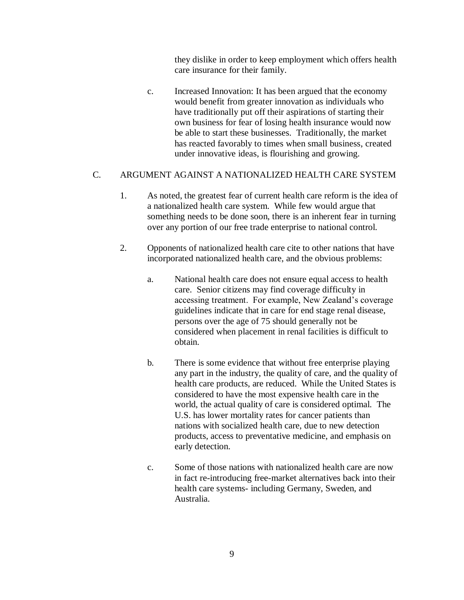they dislike in order to keep employment which offers health care insurance for their family.

c. Increased Innovation: It has been argued that the economy would benefit from greater innovation as individuals who have traditionally put off their aspirations of starting their own business for fear of losing health insurance would now be able to start these businesses. Traditionally, the market has reacted favorably to times when small business, created under innovative ideas, is flourishing and growing.

#### <span id="page-10-0"></span>C. ARGUMENT AGAINST A NATIONALIZED HEALTH CARE SYSTEM

- 1. As noted, the greatest fear of current health care reform is the idea of a nationalized health care system. While few would argue that something needs to be done soon, there is an inherent fear in turning over any portion of our free trade enterprise to national control.
- 2. Opponents of nationalized health care cite to other nations that have incorporated nationalized health care, and the obvious problems:
	- a. National health care does not ensure equal access to health care. Senior citizens may find coverage difficulty in accessing treatment. For example, New Zealand's coverage guidelines indicate that in care for end stage renal disease, persons over the age of 75 should generally not be considered when placement in renal facilities is difficult to obtain.
	- b. There is some evidence that without free enterprise playing any part in the industry, the quality of care, and the quality of health care products, are reduced. While the United States is considered to have the most expensive health care in the world, the actual quality of care is considered optimal. The U.S. has lower mortality rates for cancer patients than nations with socialized health care, due to new detection products, access to preventative medicine, and emphasis on early detection.
	- c. Some of those nations with nationalized health care are now in fact re-introducing free-market alternatives back into their health care systems- including Germany, Sweden, and Australia.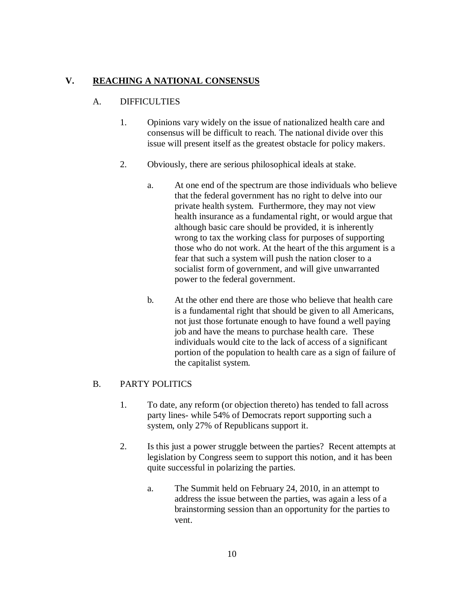# <span id="page-11-1"></span><span id="page-11-0"></span>**V. REACHING A NATIONAL CONSENSUS**

#### A. DIFFICULTIES

- 1. Opinions vary widely on the issue of nationalized health care and consensus will be difficult to reach. The national divide over this issue will present itself as the greatest obstacle for policy makers.
- 2. Obviously, there are serious philosophical ideals at stake.
	- a. At one end of the spectrum are those individuals who believe that the federal government has no right to delve into our private health system. Furthermore, they may not view health insurance as a fundamental right, or would argue that although basic care should be provided, it is inherently wrong to tax the working class for purposes of supporting those who do not work. At the heart of the this argument is a fear that such a system will push the nation closer to a socialist form of government, and will give unwarranted power to the federal government.
	- b. At the other end there are those who believe that health care is a fundamental right that should be given to all Americans, not just those fortunate enough to have found a well paying job and have the means to purchase health care. These individuals would cite to the lack of access of a significant portion of the population to health care as a sign of failure of the capitalist system.

#### <span id="page-11-2"></span>B. PARTY POLITICS

- 1. To date, any reform (or objection thereto) has tended to fall across party lines- while 54% of Democrats report supporting such a system, only 27% of Republicans support it.
- 2. Is this just a power struggle between the parties? Recent attempts at legislation by Congress seem to support this notion, and it has been quite successful in polarizing the parties.
	- a. The Summit held on February 24, 2010, in an attempt to address the issue between the parties, was again a less of a brainstorming session than an opportunity for the parties to vent.